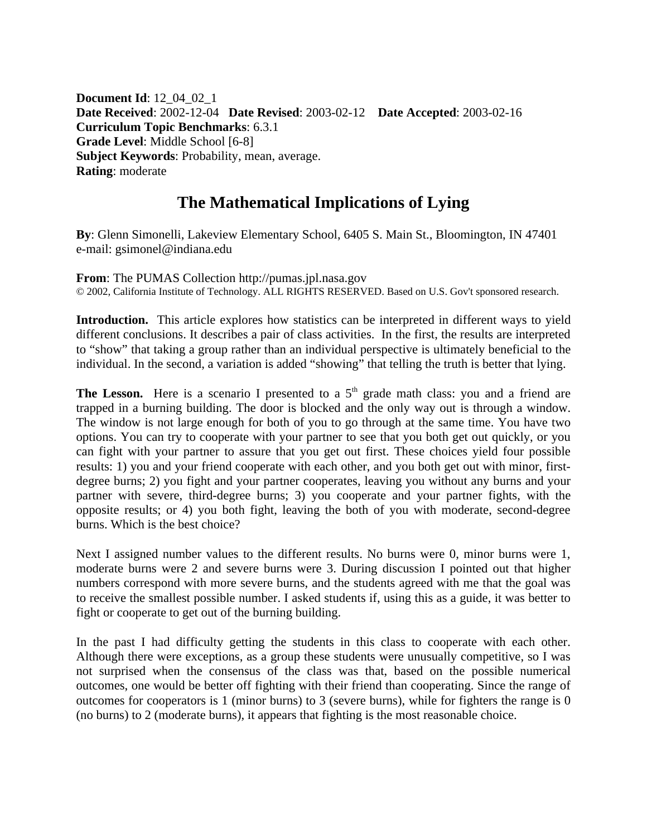**Document Id**: 12\_04\_02\_1 **Date Received**: 2002-12-04 **Date Revised**: 2003-02-12 **Date Accepted**: 2003-02-16 **Curriculum Topic Benchmarks**: 6.3.1 **Grade Level**: Middle School [6-8] **Subject Keywords**: Probability, mean, average. **Rating**: moderate

## **The Mathematical Implications of Lying**

**By**: Glenn Simonelli, Lakeview Elementary School, 6405 S. Main St., Bloomington, IN 47401 e-mail: gsimonel@indiana.edu

**From**: The PUMAS Collection http://pumas.jpl.nasa.gov © 2002, California Institute of Technology. ALL RIGHTS RESERVED. Based on U.S. Gov't sponsored research.

**Introduction.** This article explores how statistics can be interpreted in different ways to yield different conclusions. It describes a pair of class activities. In the first, the results are interpreted to "show" that taking a group rather than an individual perspective is ultimately beneficial to the individual. In the second, a variation is added "showing" that telling the truth is better that lying.

The Lesson. Here is a scenario I presented to a 5<sup>th</sup> grade math class: you and a friend are trapped in a burning building. The door is blocked and the only way out is through a window. The window is not large enough for both of you to go through at the same time. You have two options. You can try to cooperate with your partner to see that you both get out quickly, or you can fight with your partner to assure that you get out first. These choices yield four possible results: 1) you and your friend cooperate with each other, and you both get out with minor, firstdegree burns; 2) you fight and your partner cooperates, leaving you without any burns and your partner with severe, third-degree burns; 3) you cooperate and your partner fights, with the opposite results; or 4) you both fight, leaving the both of you with moderate, second-degree burns. Which is the best choice?

Next I assigned number values to the different results. No burns were 0, minor burns were 1, moderate burns were 2 and severe burns were 3. During discussion I pointed out that higher numbers correspond with more severe burns, and the students agreed with me that the goal was to receive the smallest possible number. I asked students if, using this as a guide, it was better to fight or cooperate to get out of the burning building.

In the past I had difficulty getting the students in this class to cooperate with each other. Although there were exceptions, as a group these students were unusually competitive, so I was not surprised when the consensus of the class was that, based on the possible numerical outcomes, one would be better off fighting with their friend than cooperating. Since the range of outcomes for cooperators is 1 (minor burns) to 3 (severe burns), while for fighters the range is 0 (no burns) to 2 (moderate burns), it appears that fighting is the most reasonable choice.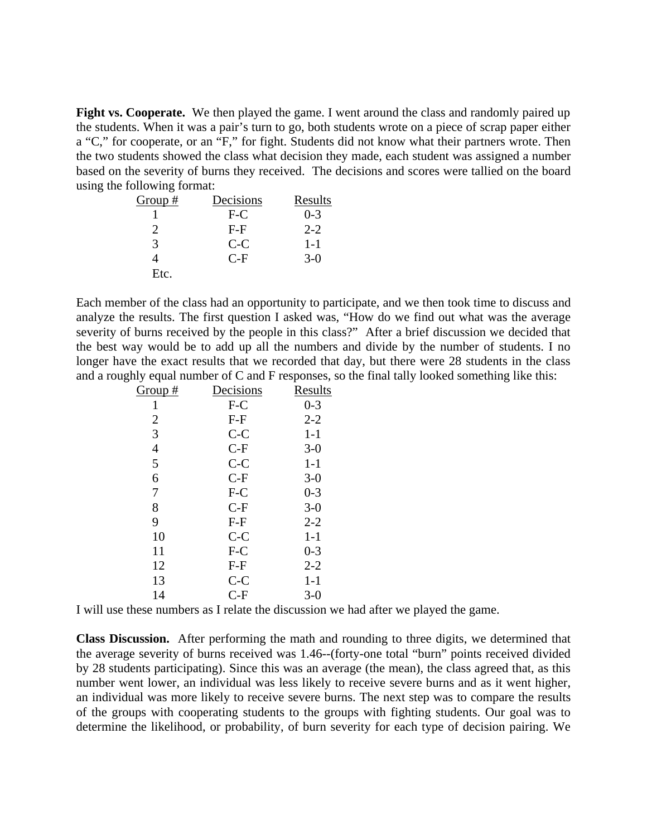Fight vs. Cooperate. We then played the game. I went around the class and randomly paired up the students. When it was a pair's turn to go, both students wrote on a piece of scrap paper either a "C," for cooperate, or an "F," for fight. Students did not know what their partners wrote. Then the two students showed the class what decision they made, each student was assigned a number based on the severity of burns they received. The decisions and scores were tallied on the board using the following format:

| Group#   | Decisions | Results |
|----------|-----------|---------|
|          | $F-C$     | $0 - 3$ |
| $\gamma$ | $F-F$     | $2 - 2$ |
| 3        | $C-C$     | $1 - 1$ |
|          | $C-F$     | $3-0$   |
| Etc.     |           |         |

Each member of the class had an opportunity to participate, and we then took time to discuss and analyze the results. The first question I asked was, "How do we find out what was the average severity of burns received by the people in this class?" After a brief discussion we decided that the best way would be to add up all the numbers and divide by the number of students. I no longer have the exact results that we recorded that day, but there were 28 students in the class and a roughly equal number of C and F responses, so the final tally looked something like this:

| <u>Group #</u> | <u>Decisions</u> | <u>Results</u> |
|----------------|------------------|----------------|
| 1              | F-C              | $0 - 3$        |
| $\overline{2}$ | $F-F$            | $2 - 2$        |
| 3              | $C-C$            | $1-1$          |
| 4              | $C-F$            | $3-0$          |
| 5              | $C-C$            | $1-1$          |
| 6              | $C-F$            | $3-0$          |
| 7              | $F-C$            | $0 - 3$        |
| 8              | $C-F$            | $3-0$          |
| 9              | $F-F$            | $2 - 2$        |
| 10             | $C-C$            | $1 - 1$        |
| 11             | $F-C$            | $0 - 3$        |
| 12             | $F-F$            | $2 - 2$        |
| 13             | $C-C$            | $1-1$          |
| 14             | $C-F$            | $3-0$          |
|                |                  |                |

I will use these numbers as I relate the discussion we had after we played the game.

**Class Discussion.** After performing the math and rounding to three digits, we determined that the average severity of burns received was 1.46--(forty-one total "burn" points received divided by 28 students participating). Since this was an average (the mean), the class agreed that, as this number went lower, an individual was less likely to receive severe burns and as it went higher, an individual was more likely to receive severe burns. The next step was to compare the results of the groups with cooperating students to the groups with fighting students. Our goal was to determine the likelihood, or probability, of burn severity for each type of decision pairing. We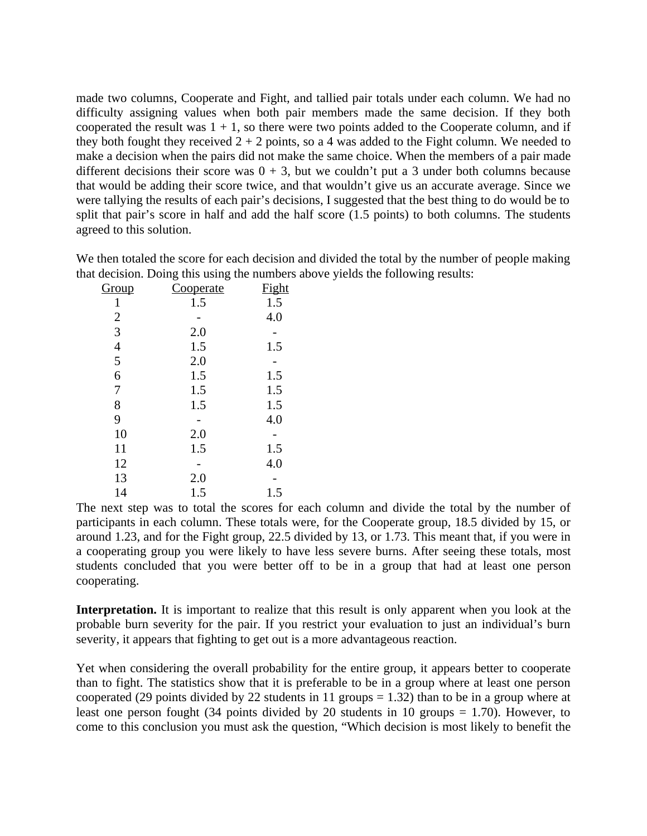made two columns, Cooperate and Fight, and tallied pair totals under each column. We had no difficulty assigning values when both pair members made the same decision. If they both cooperated the result was  $1 + 1$ , so there were two points added to the Cooperate column, and if they both fought they received  $2 + 2$  points, so a 4 was added to the Fight column. We needed to make a decision when the pairs did not make the same choice. When the members of a pair made different decisions their score was  $0 + 3$ , but we couldn't put a 3 under both columns because that would be adding their score twice, and that wouldn't give us an accurate average. Since we were tallying the results of each pair's decisions, I suggested that the best thing to do would be to split that pair's score in half and add the half score (1.5 points) to both columns. The students agreed to this solution.

| Group          | <u>Cooperate</u> | <b>Fight</b> |
|----------------|------------------|--------------|
| 1              | 1.5              | 1.5          |
| $\overline{2}$ |                  | 4.0          |
| 3              | 2.0              |              |
| $\overline{4}$ | 1.5              | 1.5          |
| 5              | 2.0              |              |
| 6              | 1.5              | 1.5          |
| 7              | 1.5              | 1.5          |
| 8              | 1.5              | 1.5          |
| 9              |                  | 4.0          |
| 10             | 2.0              |              |
| 11             | 1.5              | 1.5          |
| 12             |                  | 4.0          |
| 13             | 2.0              |              |
| 14             | 1.5              | 1.5          |

We then totaled the score for each decision and divided the total by the number of people making that decision. Doing this using the numbers above yields the following results:

The next step was to total the scores for each column and divide the total by the number of participants in each column. These totals were, for the Cooperate group, 18.5 divided by 15, or around 1.23, and for the Fight group, 22.5 divided by 13, or 1.73. This meant that, if you were in a cooperating group you were likely to have less severe burns. After seeing these totals, most students concluded that you were better off to be in a group that had at least one person cooperating.

Interpretation. It is important to realize that this result is only apparent when you look at the probable burn severity for the pair. If you restrict your evaluation to just an individual's burn severity, it appears that fighting to get out is a more advantageous reaction.

Yet when considering the overall probability for the entire group, it appears better to cooperate than to fight. The statistics show that it is preferable to be in a group where at least one person cooperated (29 points divided by 22 students in 11 groups  $= 1.32$ ) than to be in a group where at least one person fought (34 points divided by 20 students in 10 groups = 1.70). However, to come to this conclusion you must ask the question, "Which decision is most likely to benefit the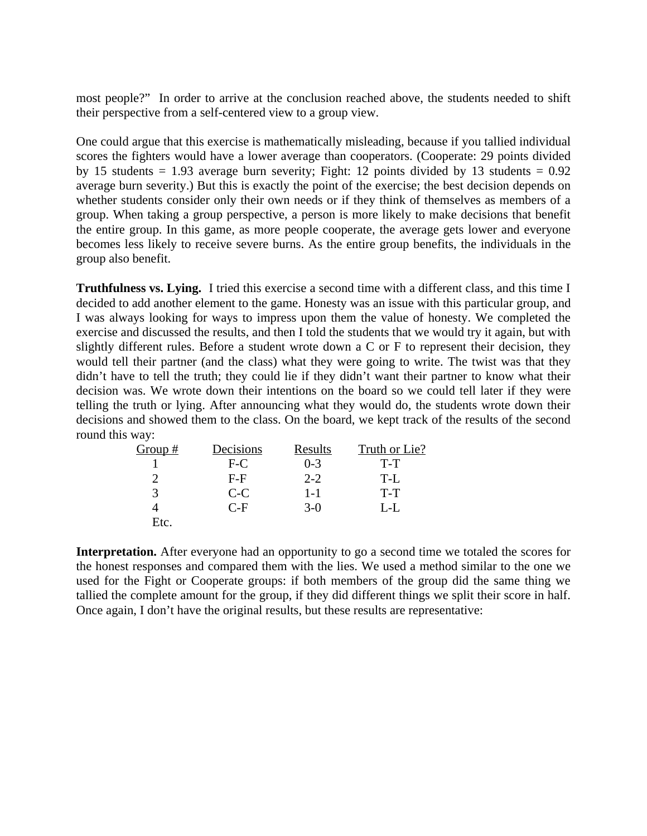most people?" In order to arrive at the conclusion reached above, the students needed to shift their perspective from a self-centered view to a group view.

One could argue that this exercise is mathematically misleading, because if you tallied individual scores the fighters would have a lower average than cooperators. (Cooperate: 29 points divided by 15 students = 1.93 average burn severity; Fight: 12 points divided by 13 students =  $0.92$ average burn severity.) But this is exactly the point of the exercise; the best decision depends on whether students consider only their own needs or if they think of themselves as members of a group. When taking a group perspective, a person is more likely to make decisions that benefit the entire group. In this game, as more people cooperate, the average gets lower and everyone becomes less likely to receive severe burns. As the entire group benefits, the individuals in the group also benefit.

**Truthfulness vs. Lying.** I tried this exercise a second time with a different class, and this time I decided to add another element to the game. Honesty was an issue with this particular group, and I was always looking for ways to impress upon them the value of honesty. We completed the exercise and discussed the results, and then I told the students that we would try it again, but with slightly different rules. Before a student wrote down a C or F to represent their decision, they would tell their partner (and the class) what they were going to write. The twist was that they didn't have to tell the truth; they could lie if they didn't want their partner to know what their decision was. We wrote down their intentions on the board so we could tell later if they were telling the truth or lying. After announcing what they would do, the students wrote down their decisions and showed them to the class. On the board, we kept track of the results of the second round this way:

| Group $#$ | Decisions | Results | Truth or Lie? |
|-----------|-----------|---------|---------------|
|           | $F-C$     | $0 - 3$ | $T-T$         |
|           | $F-F$     | $2 - 2$ | T-L           |
|           | $C-C$     | $1 - 1$ | $T-T$         |
|           | $C-F$     | $3-0$   | L-L           |
| Etc.      |           |         |               |

**Interpretation.** After everyone had an opportunity to go a second time we totaled the scores for the honest responses and compared them with the lies. We used a method similar to the one we used for the Fight or Cooperate groups: if both members of the group did the same thing we tallied the complete amount for the group, if they did different things we split their score in half. Once again, I don't have the original results, but these results are representative: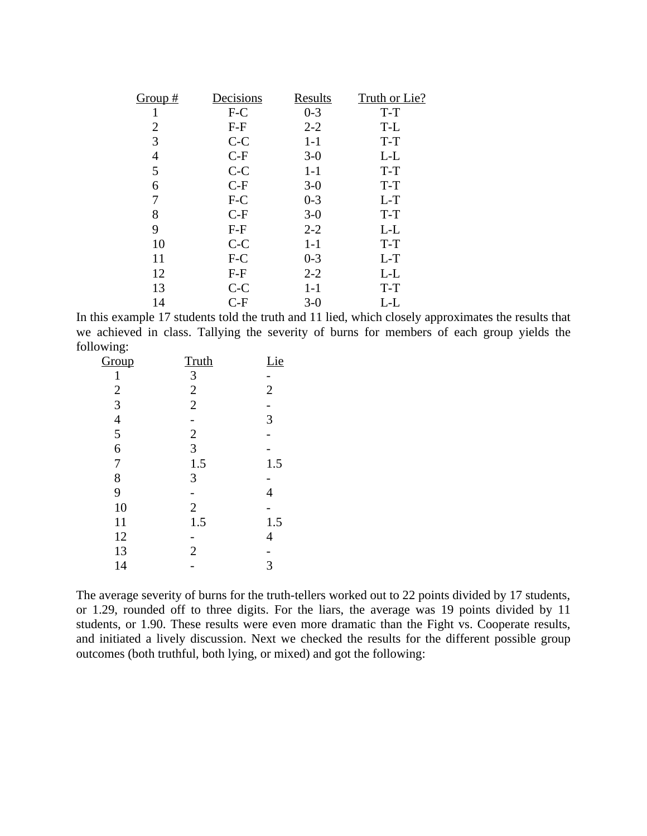| Group# | <u>Decisions</u> | <b>Results</b> | Truth or Lie? |
|--------|------------------|----------------|---------------|
|        | F-C              | $0 - 3$        | T-T           |
| 2      | $F-F$            | $2 - 2$        | T-L           |
| 3      | $C-C$            | $1-1$          | $T-T$         |
| 4      | $C-F$            | $3-0$          | L-L           |
| 5      | $C-C$            | $1-1$          | T-T           |
| 6      | $C-F$            | $3-0$          | $T-T$         |
|        | $F-C$            | $0 - 3$        | $L-T$         |
| 8      | $C-F$            | $3-0$          | T-T           |
| 9      | $F-F$            | $2 - 2$        | $L-L$         |
| 10     | $C-C$            | $1-1$          | $T-T$         |
| 11     | $F-C$            | $0 - 3$        | $L-T$         |
| 12     | $F-F$            | $2 - 2$        | L-L           |
| 13     | $C-C$            | $1 - 1$        | $T-T$         |
| 14     | $C-F$            | $3-0$          | L-L           |

In this example 17 students told the truth and 11 lied, which closely approximates the results that we achieved in class. Tallying the severity of burns for members of each group yields the following:

| Group          | Truth          | Lie            |
|----------------|----------------|----------------|
| $\mathbf{1}$   | 3              |                |
|                | $\overline{2}$ | $\overline{2}$ |
| $\frac{2}{3}$  | $\overline{2}$ |                |
|                |                | 3              |
| $\frac{4}{5}$  | $\frac{2}{3}$  |                |
| $\overline{6}$ |                |                |
| 7              | 1.5            | 1.5            |
| 8              | 3              |                |
| 9              |                | 4              |
| 10             | $\overline{2}$ |                |
| 11             | 1.5            | 1.5            |
| 12             |                | 4              |
| 13             | $\overline{2}$ |                |
| 14             |                | 3              |
|                |                |                |

The average severity of burns for the truth-tellers worked out to 22 points divided by 17 students, or 1.29, rounded off to three digits. For the liars, the average was 19 points divided by 11 students, or 1.90. These results were even more dramatic than the Fight vs. Cooperate results, and initiated a lively discussion. Next we checked the results for the different possible group outcomes (both truthful, both lying, or mixed) and got the following: